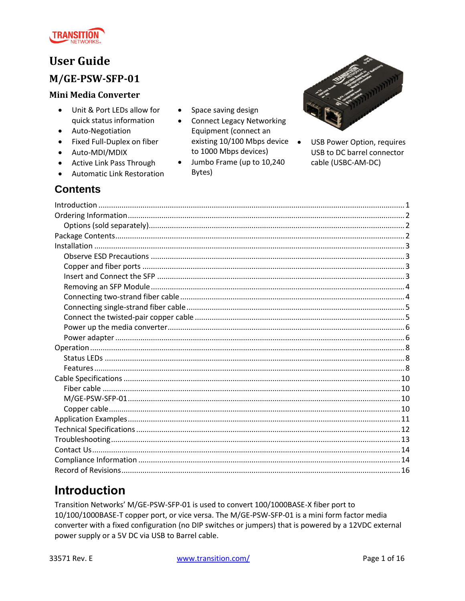

# **User Guide**

## M/GE-PSW-SFP-01

### **Mini Media Converter**

- Unit & Port LEDs allow for  $\bullet$ quick status information
- Auto-Negotiation
- Fixed Full-Duplex on fiber
- Auto-MDI/MDIX
- Active Link Pass Through
- Automatic Link Restoration
- Space saving design  $\bullet$
- **Connect Legacy Networking**  $\bullet$ Equipment (connect an existing 10/100 Mbps device • to 1000 Mbps devices)
- Jumbo Frame (up to 10,240  $\bullet$ Bytes)



USB Power Option, requires USB to DC barrel connector cable (USBC-AM-DC)

## **Contents**

# <span id="page-0-0"></span>**Introduction**

Transition Networks' M/GE-PSW-SFP-01 is used to convert 100/1000BASE-X fiber port to 10/100/1000BASE-T copper port, or vice versa. The M/GE-PSW-SFP-01 is a mini form factor media converter with a fixed configuration (no DIP switches or jumpers) that is powered by a 12VDC external power supply or a 5V DC via USB to Barrel cable.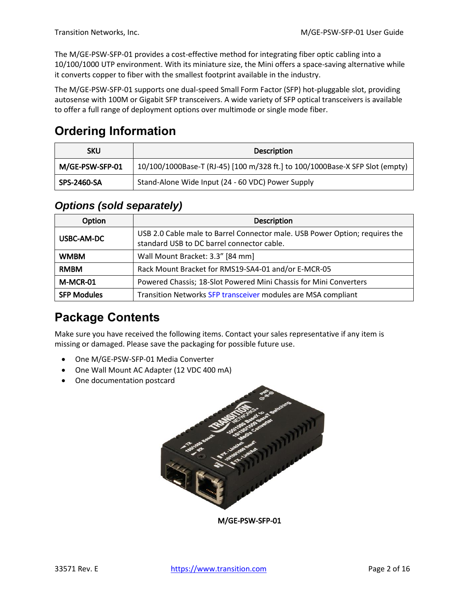The M/GE-PSW-SFP-01 provides a cost-effective method for integrating fiber optic cabling into a 10/100/1000 UTP environment. With its miniature size, the Mini offers a space-saving alternative while it converts copper to fiber with the smallest footprint available in the industry.

The M/GE-PSW-SFP-01 supports one dual-speed Small Form Factor (SFP) hot-pluggable slot, providing autosense with 100M or Gigabit SFP transceivers. A wide variety of SFP optical transceivers is available to offer a full range of deployment options over multimode or single mode fiber.

# <span id="page-1-0"></span>**Ordering Information**

| SKU             | <b>Description</b>                                                           |
|-----------------|------------------------------------------------------------------------------|
| M/GE-PSW-SFP-01 | 10/100/1000Base-T (RJ-45) [100 m/328 ft.] to 100/1000Base-X SFP Slot (empty) |
| SPS-2460-SA     | Stand-Alone Wide Input (24 - 60 VDC) Power Supply                            |

## <span id="page-1-1"></span>*Options (sold separately)*

| Option             | <b>Description</b>                                                                                                        |
|--------------------|---------------------------------------------------------------------------------------------------------------------------|
| USBC-AM-DC         | USB 2.0 Cable male to Barrel Connector male. USB Power Option; requires the<br>standard USB to DC barrel connector cable. |
| <b>WMBM</b>        | Wall Mount Bracket: 3.3" [84 mm]                                                                                          |
| <b>RMBM</b>        | Rack Mount Bracket for RMS19-SA4-01 and/or E-MCR-05                                                                       |
| M-MCR-01           | Powered Chassis; 18-Slot Powered Mini Chassis for Mini Converters                                                         |
| <b>SFP Modules</b> | Transition Networks SFP transceiver modules are MSA compliant                                                             |

# <span id="page-1-2"></span>**Package Contents**

Make sure you have received the following items. Contact your sales representative if any item is missing or damaged. Please save the packaging for possible future use.

- One M/GE-PSW-SFP-01 Media Converter
- One Wall Mount AC Adapter (12 VDC 400 mA)
- One documentation postcard



M/GE-PSW-SFP-01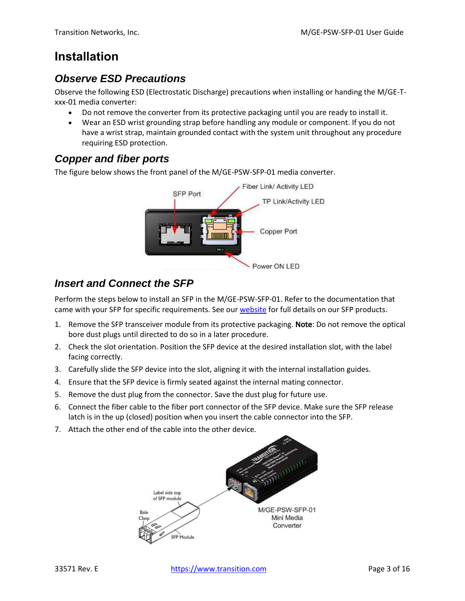# <span id="page-2-0"></span>**Installation**

## <span id="page-2-1"></span>*Observe ESD Precautions*

Observe the following ESD (Electrostatic Discharge) precautions when installing or handing the M/GE-Txxx-01 media converter:

- Do not remove the converter from its protective packaging until you are ready to install it.
- Wear an ESD wrist grounding strap before handling any module or component. If you do not have a wrist strap, maintain grounded contact with the system unit throughout any procedure requiring ESD protection.

## <span id="page-2-2"></span>*Copper and fiber ports*

The figure below shows the front panel of the M/GE-PSW-SFP-01 media converter.



## <span id="page-2-3"></span>*Insert and Connect the SFP*

Perform the steps below to install an SFP in the M/GE-PSW-SFP-01. Refer to the documentation that came with your SFP for specific requirements. See our [website](http://www.transition.com/TransitionNetworks/Landing/SFP-XFP/SFP-XFP.aspx) for full details on our SFP products.

- 1. Remove the SFP transceiver module from its protective packaging. Note: Do not remove the optical bore dust plugs until directed to do so in a later procedure.
- 2. Check the slot orientation. Position the SFP device at the desired installation slot, with the label facing correctly.
- 3. Carefully slide the SFP device into the slot, aligning it with the internal installation guides.
- 4. Ensure that the SFP device is firmly seated against the internal mating connector.
- 5. Remove the dust plug from the connector. Save the dust plug for future use.
- 6. Connect the fiber cable to the fiber port connector of the SFP device. Make sure the SFP release latch is in the up (closed) position when you insert the cable connector into the SFP.
- 7. Attach the other end of the cable into the other device.

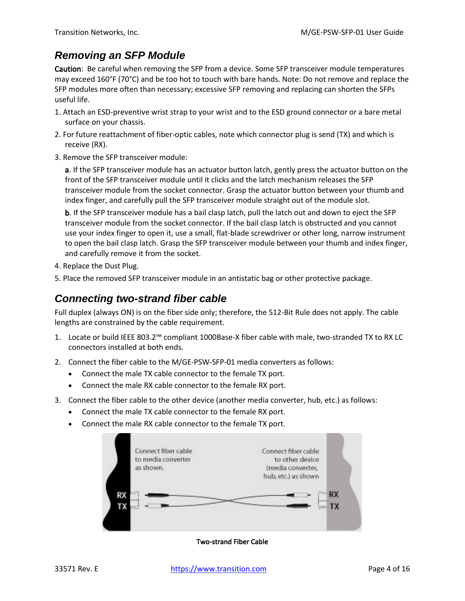## <span id="page-3-0"></span>*Removing an SFP Module*

Caution: Be careful when removing the SFP from a device. Some SFP transceiver module temperatures may exceed 160°F (70°C) and be too hot to touch with bare hands. Note: Do not remove and replace the SFP modules more often than necessary; excessive SFP removing and replacing can shorten the SFPs useful life.

- 1. Attach an ESD-preventive wrist strap to your wrist and to the ESD ground connector or a bare metal surface on your chassis.
- 2. For future reattachment of fiber-optic cables, note which connector plug is send (TX) and which is receive (RX).
- 3. Remove the SFP transceiver module:

a. If the SFP transceiver module has an actuator button latch, gently press the actuator button on the front of the SFP transceiver module until it clicks and the latch mechanism releases the SFP transceiver module from the socket connector. Grasp the actuator button between your thumb and index finger, and carefully pull the SFP transceiver module straight out of the module slot.

b. If the SFP transceiver module has a bail clasp latch, pull the latch out and down to eject the SFP transceiver module from the socket connector. If the bail clasp latch is obstructed and you cannot use your index finger to open it, use a small, flat-blade screwdriver or other long, narrow instrument to open the bail clasp latch. Grasp the SFP transceiver module between your thumb and index finger, and carefully remove it from the socket.

- 4. Replace the Dust Plug.
- 5. Place the removed SFP transceiver module in an antistatic bag or other protective package.

### <span id="page-3-1"></span>*Connecting two-strand fiber cable*

Full duplex (always ON) is on the fiber side only; therefore, the 512-Bit Rule does not apply. The cable lengths are constrained by the cable requirement.

- 1. Locate or build IEEE 803.2™ compliant 1000Base-X fiber cable with male, two-stranded TX to RX LC connectors installed at both ends.
- 2. Connect the fiber cable to the M/GE-PSW-SFP-01 media converters as follows:
	- Connect the male TX cable connector to the female TX port.
	- Connect the male RX cable connector to the female RX port.
- 3. Connect the fiber cable to the other device (another media converter, hub, etc.) as follows:
	- Connect the male TX cable connector to the female RX port.
	- Connect the male RX cable connector to the female TX port.



Two-strand Fiber Cable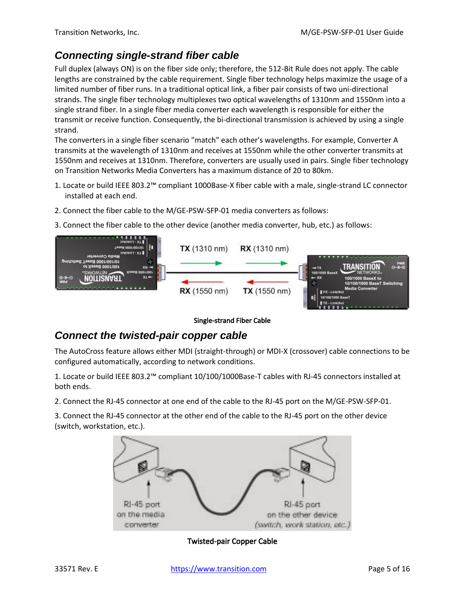## <span id="page-4-0"></span>*Connecting single-strand fiber cable*

Full duplex (always ON) is on the fiber side only; therefore, the 512-Bit Rule does not apply. The cable lengths are constrained by the cable requirement. Single fiber technology helps maximize the usage of a limited number of fiber runs. In a traditional optical link, a fiber pair consists of two uni-directional strands. The single fiber technology multiplexes two optical wavelengths of 1310nm and 1550nm into a single strand fiber. In a single fiber media converter each wavelength is responsible for either the transmit or receive function. Consequently, the bi-directional transmission is achieved by using a single strand.

The converters in a single fiber scenario "match" each other's wavelengths. For example, Converter A transmits at the wavelength of 1310nm and receives at 1550nm while the other converter transmits at 1550nm and receives at 1310nm. Therefore, converters are usually used in pairs. Single fiber technology on Transition Networks Media Converters has a maximum distance of 20 to 80km.

- 1. Locate or build IEEE 803.2™ compliant 1000Base-X fiber cable with a male, single-strand LC connector installed at each end.
- 2. Connect the fiber cable to the M/GE-PSW-SFP-01 media converters as follows:
- 3. Connect the fiber cable to the other device (another media converter, hub, etc.) as follows:



#### Single-strand Fiber Cable

### <span id="page-4-1"></span>*Connect the twisted-pair copper cable*

The AutoCross feature allows either MDI (straight-through) or MDI-X (crossover) cable connections to be configured automatically, according to network conditions.

1. Locate or build IEEE 803.2™ compliant 10/100/1000Base-T cables with RJ-45 connectors installed at both ends.

2. Connect the RJ-45 connector at one end of the cable to the RJ-45 port on the M/GE-PSW-SFP-01.

3. Connect the RJ-45 connector at the other end of the cable to the RJ-45 port on the other device (switch, workstation, etc.).



Twisted-pair Copper Cable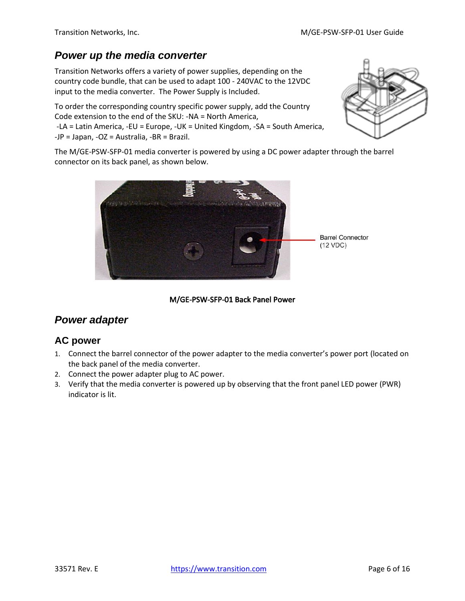## <span id="page-5-0"></span>*Power up the media converter*

Transition Networks offers a variety of power supplies, depending on the country code bundle, that can be used to adapt 100 - 240VAC to the 12VDC input to the media converter. The Power Supply is Included.

To order the corresponding country specific power supply, add the Country Code extension to the end of the SKU: -NA = North America,

-LA = Latin America, -EU = Europe, -UK = United Kingdom, -SA = South America, -JP = Japan, -OZ = Australia, -BR = Brazil.



The M/GE-PSW-SFP-01 media converter is powered by using a DC power adapter through the barrel connector on its back panel, as shown below.



#### M/GE-PSW-SFP-01 Back Panel Power

### <span id="page-5-1"></span>*Power adapter*

### **AC power**

- 1. Connect the barrel connector of the power adapter to the media converter's power port (located on the back panel of the media converter.
- 2. Connect the power adapter plug to AC power.
- 3. Verify that the media converter is powered up by observing that the front panel LED power (PWR) indicator is lit.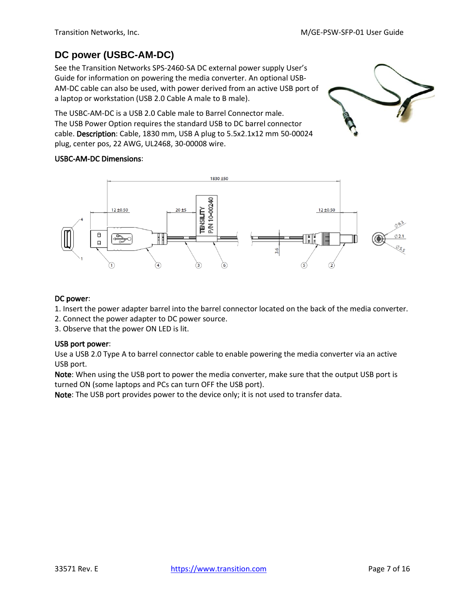## **DC power (USBC-AM-DC)**

See the Transition Networks SPS-2460-SA DC external power supply User's Guide for information on powering the media converter. An optional USB-AM-DC cable can also be used, with power derived from an active USB port of a laptop or workstation (USB 2.0 Cable A male to B male).

The USBC-AM-DC is a USB 2.0 Cable male to Barrel Connector male. The USB Power Option requires the standard USB to DC barrel connector cable. Description: Cable, 1830 mm, USB A plug to 5.5x2.1x12 mm 50-00024 plug, center pos, 22 AWG, UL2468, 30-00008 wire.



#### USBC-AM-DC Dimensions:



#### DC power:

- 1. Insert the power adapter barrel into the barrel connector located on the back of the media converter.
- 2. Connect the power adapter to DC power source.
- 3. Observe that the power ON LED is lit.

#### USB port power:

Use a USB 2.0 Type A to barrel connector cable to enable powering the media converter via an active USB port.

Note: When using the USB port to power the media converter, make sure that the output USB port is turned ON (some laptops and PCs can turn OFF the USB port).

Note: The USB port provides power to the device only; it is not used to transfer data.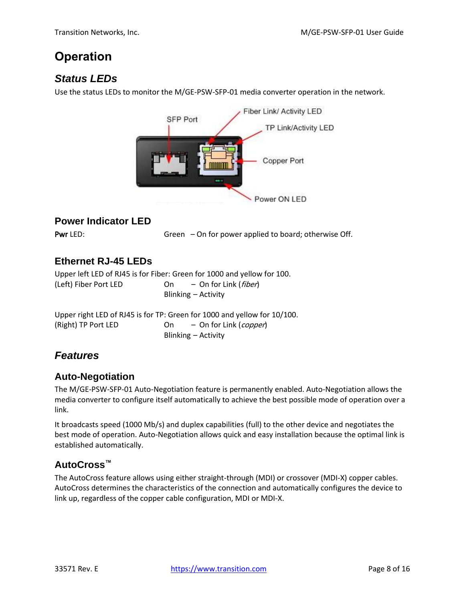# <span id="page-7-0"></span>**Operation**

## <span id="page-7-1"></span>*Status LEDs*

Use the status LEDs to monitor the M/GE-PSW-SFP-01 media converter operation in the network.



### **Power Indicator LED**

Pwr LED: Green – On for power applied to board; otherwise Off.

### **Ethernet RJ-45 LEDs**

Upper left LED of RJ45 is for Fiber: Green for 1000 and yellow for 100. (Left) Fiber Port LED 0n – On for Link (fiber) Blinking – Activity

Upper right LED of RJ45 is for TP: Green for 1000 and yellow for 10/100. (Right) TP Port LED 0n – On for Link (copper) Blinking – Activity

## <span id="page-7-2"></span>*Features*

### **Auto-Negotiation**

The M/GE-PSW-SFP-01 Auto-Negotiation feature is permanently enabled. Auto-Negotiation allows the media converter to configure itself automatically to achieve the best possible mode of operation over a link.

It broadcasts speed (1000 Mb/s) and duplex capabilities (full) to the other device and negotiates the best mode of operation. Auto-Negotiation allows quick and easy installation because the optimal link is established automatically.

### **AutoCross™**

The AutoCross feature allows using either straight-through (MDI) or crossover (MDI-X) copper cables. AutoCross determines the characteristics of the connection and automatically configures the device to link up, regardless of the copper cable configuration, MDI or MDI-X.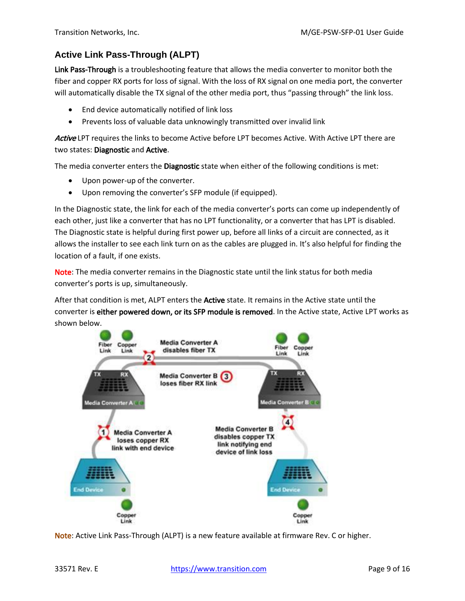#### **Active Link Pass-Through (ALPT)**

Link Pass-Through is a troubleshooting feature that allows the media converter to monitor both the fiber and copper RX ports for loss of signal. With the loss of RX signal on one media port, the converter will automatically disable the TX signal of the other media port, thus "passing through" the link loss.

- End device automatically notified of link loss
- Prevents loss of valuable data unknowingly transmitted over invalid link

Active LPT requires the links to become Active before LPT becomes Active. With Active LPT there are two states: Diagnostic and Active.

The media converter enters the Diagnostic state when either of the following conditions is met:

- Upon power-up of the converter.
- Upon removing the converter's SFP module (if equipped).

In the Diagnostic state, the link for each of the media converter's ports can come up independently of each other, just like a converter that has no LPT functionality, or a converter that has LPT is disabled. The Diagnostic state is helpful during first power up, before all links of a circuit are connected, as it allows the installer to see each link turn on as the cables are plugged in. It's also helpful for finding the location of a fault, if one exists.

Note: The media converter remains in the Diagnostic state until the link status for both media converter's ports is up, simultaneously.

After that condition is met, ALPT enters the **Active** state. It remains in the Active state until the converter is either powered down, or its SFP module is removed. In the Active state, Active LPT works as shown below.



Note: Active Link Pass-Through (ALPT) is a new feature available at firmware Rev. C or higher.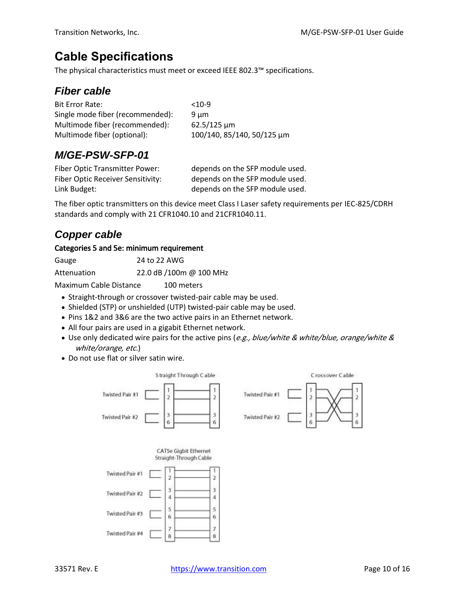# <span id="page-9-0"></span>**Cable Specifications**

<span id="page-9-1"></span>The physical characteristics must meet or exceed IEEE 802.3™ specifications.

## *Fiber cable*

| $<10-9$                    |
|----------------------------|
| 9 um                       |
| $62.5/125 \mu m$           |
| 100/140, 85/140, 50/125 μm |
|                            |

## <span id="page-9-2"></span>*M/GE-PSW-SFP-01*

| Fiber Optic Transmitter Power:           | depends on the SFP module used. |
|------------------------------------------|---------------------------------|
| <b>Fiber Optic Receiver Sensitivity:</b> | depends on the SFP module used. |
| Link Budget:                             | depends on the SFP module used. |

The fiber optic transmitters on this device meet Class I Laser safety requirements per IEC-825/CDRH standards and comply with 21 CFR1040.10 and 21CFR1040.11.

## <span id="page-9-3"></span>*Copper cable*

#### Categories 5 and 5e: minimum requirement

| Gauge       | 24 to 22 AWG            |
|-------------|-------------------------|
| Attenuation | 22.0 dB /100m @ 100 MHz |

Maximum Cable Distance 100 meters

- Straight-through or crossover twisted-pair cable may be used.
- Shielded (STP) or unshielded (UTP) twisted-pair cable may be used.
- Pins 1&2 and 3&6 are the two active pairs in an Ethernet network.
- All four pairs are used in a gigabit Ethernet network.
- Use only dedicated wire pairs for the active pins (e.g., blue/white & white/blue, orange/white & white/orange, etc.)
- Do not use flat or silver satin wire.

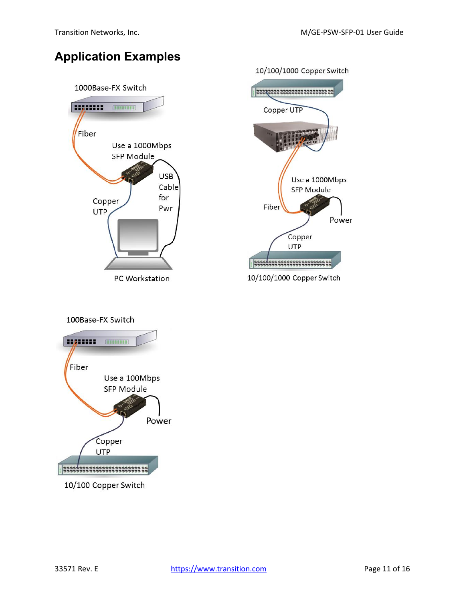# <span id="page-10-0"></span>**Application Examples**





#### 100Base-FX Switch

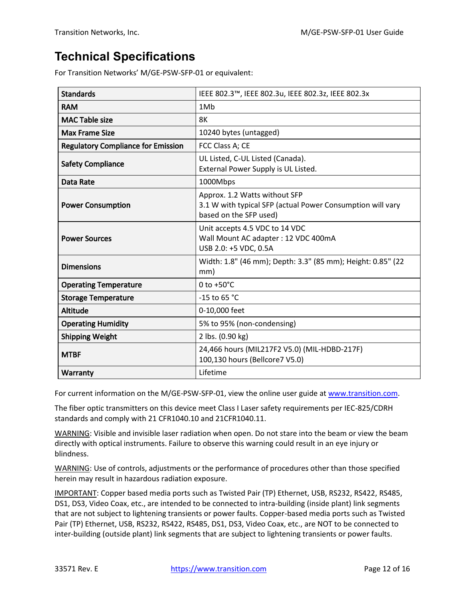# <span id="page-11-0"></span>**Technical Specifications**

For Transition Networks' M/GE-PSW-SFP-01 or equivalent:

| <b>Standards</b>                          | IEEE 802.3™, IEEE 802.3u, IEEE 802.3z, IEEE 802.3x                                                                    |
|-------------------------------------------|-----------------------------------------------------------------------------------------------------------------------|
| <b>RAM</b>                                | 1M <sub>b</sub>                                                                                                       |
| <b>MAC Table size</b>                     | 8K                                                                                                                    |
| <b>Max Frame Size</b>                     | 10240 bytes (untagged)                                                                                                |
| <b>Regulatory Compliance for Emission</b> | FCC Class A; CE                                                                                                       |
| <b>Safety Compliance</b>                  | UL Listed, C-UL Listed (Canada).<br>External Power Supply is UL Listed.                                               |
| <b>Data Rate</b>                          | 1000Mbps                                                                                                              |
| <b>Power Consumption</b>                  | Approx. 1.2 Watts without SFP<br>3.1 W with typical SFP (actual Power Consumption will vary<br>based on the SFP used) |
| <b>Power Sources</b>                      | Unit accepts 4.5 VDC to 14 VDC<br>Wall Mount AC adapter : 12 VDC 400mA<br>USB 2.0: +5 VDC, 0.5A                       |
| <b>Dimensions</b>                         | Width: 1.8" (46 mm); Depth: 3.3" (85 mm); Height: 0.85" (22<br>mm)                                                    |
| <b>Operating Temperature</b>              | $0$ to +50 $^{\circ}$ C                                                                                               |
| <b>Storage Temperature</b>                | -15 to 65 °C                                                                                                          |
| <b>Altitude</b>                           | 0-10,000 feet                                                                                                         |
| <b>Operating Humidity</b>                 | 5% to 95% (non-condensing)                                                                                            |
| <b>Shipping Weight</b>                    | 2 lbs. (0.90 kg)                                                                                                      |
| <b>MTBF</b>                               | 24,466 hours (MIL217F2 V5.0) (MIL-HDBD-217F)<br>100,130 hours (Bellcore7 V5.0)                                        |
| Warranty                                  | Lifetime                                                                                                              |

For current information on the M/GE-PSW-SFP-01, view the online user guide at [www.transition.com.](http://www.transition.com/)

The fiber optic transmitters on this device meet Class I Laser safety requirements per IEC-825/CDRH standards and comply with 21 CFR1040.10 and 21CFR1040.11.

WARNING: Visible and invisible laser radiation when open. Do not stare into the beam or view the beam directly with optical instruments. Failure to observe this warning could result in an eye injury or blindness.

WARNING: Use of controls, adjustments or the performance of procedures other than those specified herein may result in hazardous radiation exposure.

IMPORTANT: Copper based media ports such as Twisted Pair (TP) Ethernet, USB, RS232, RS422, RS485, DS1, DS3, Video Coax, etc., are intended to be connected to intra-building (inside plant) link segments that are not subject to lightening transients or power faults. Copper-based media ports such as Twisted Pair (TP) Ethernet, USB, RS232, RS422, RS485, DS1, DS3, Video Coax, etc., are NOT to be connected to inter-building (outside plant) link segments that are subject to lightening transients or power faults.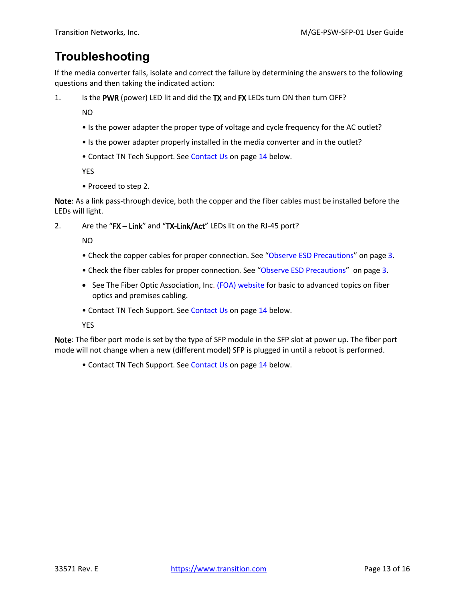# <span id="page-12-0"></span>**Troubleshooting**

If the media converter fails, isolate and correct the failure by determining the answers to the following questions and then taking the indicated action:

1. Is the PWR (power) LED lit and did the TX and FX LEDs turn ON then turn OFF?

NO

- Is the power adapter the proper type of voltage and cycle frequency for the AC outlet?
- Is the power adapter properly installed in the media converter and in the outlet?
- Contact TN Tech Support. Se[e Contact Us](#page-13-0) on pag[e 14](#page-13-0) below.

YES

• Proceed to step 2.

Note: As a link pass-through device, both the copper and the fiber cables must be installed before the LEDs will light.

2. Are the "FX – Link" and "TX-Link/Act" LEDs lit on the RJ-45 port?

NO

- Check the copper cables for proper connection. See "[Observe ESD Precautions](#page-2-1)" on page [3.](#page-2-1)
- Check the fiber cables for proper connection. See "[Observe ESD Precautions](#page-2-1)" on page [3.](#page-2-1)
- See The Fiber Optic Association, Inc[. \(FOA\) website](https://transition.com/lines/optical-devices/platform-sfp/form-factor/form-factor-sfp/) for basic to advanced topics on fiber optics and premises cabling.
- Contact TN Tech Support. See [Contact Us](#page-13-0) on pag[e 14](#page-13-0) below.

YES

Note: The fiber port mode is set by the type of SFP module in the SFP slot at power up. The fiber port mode will not change when a new (different model) SFP is plugged in until a reboot is performed.

• Contact TN Tech Support. See [Contact Us](#page-13-0) on pag[e 14](#page-13-0) below.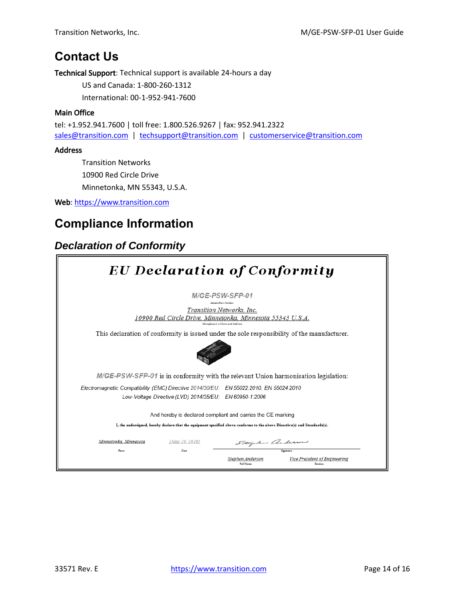## <span id="page-13-0"></span>**Contact Us**

Technical Support: Technical support is available 24-hours a day

US and Canada: 1-800-260-1312

International: 00-1-952-941-7600

#### Main Office

tel: +1.952.941.7600 | toll free: 1.800.526.9267 | fax: 952.941.2322 [sales@transition.com](mailto:sales@transition.com) | [techsupport@transition.com](mailto:techsupport@transition.com) | [customerservice@transition.com](mailto:customerservice@transition.com)

#### Address

Transition Networks 10900 Red Circle Drive Minnetonka, MN 55343, U.S.A.

Web: [https://www.transition.com](https://www.transition.com/) 

# <span id="page-13-1"></span>**Compliance Information**

## *Declaration of Conformity*

| <b>EU Declaration of Conformity</b>                                                         |                        |                                                                                                                                                                   |                                           |
|---------------------------------------------------------------------------------------------|------------------------|-------------------------------------------------------------------------------------------------------------------------------------------------------------------|-------------------------------------------|
|                                                                                             |                        | M/GE-PSW-SFP-01<br>Model/Part Number<br>Transition Networks, Inc.<br>10900 Red Circle Drive, Minnetonka, Minnesota 55343 U.S.A.<br>Manufacture's Name and Address |                                           |
| This declaration of conformity is issued under the sole responsibility of the manufacturer. |                        |                                                                                                                                                                   |                                           |
| M/GE-PSW-SFP-01 is in conformity with the relevant Union harmonisation legislation:         |                        |                                                                                                                                                                   |                                           |
| Electromagnetic Compatibility (EMC) Directive 2014/30/EU: EN 55022:2010, EN 55024:2010      |                        | Low-Voltage Directive (LVD) 2014/35/EU: EN 60950-1:2006                                                                                                           |                                           |
|                                                                                             |                        | And hereby is declared compliant and carries the CE marking                                                                                                       |                                           |
|                                                                                             |                        | I, the undersigned, hereby declare that the equipment specified above conforms to the above Directive(s) and Standards(s).                                        |                                           |
| Minnetonka, Minnesota<br>Place                                                              | JMay 20, 20167<br>Date | Stephen anderson                                                                                                                                                  |                                           |
|                                                                                             |                        | Stephen Anderson<br>Full Name                                                                                                                                     | Vice President of Engineering<br>Position |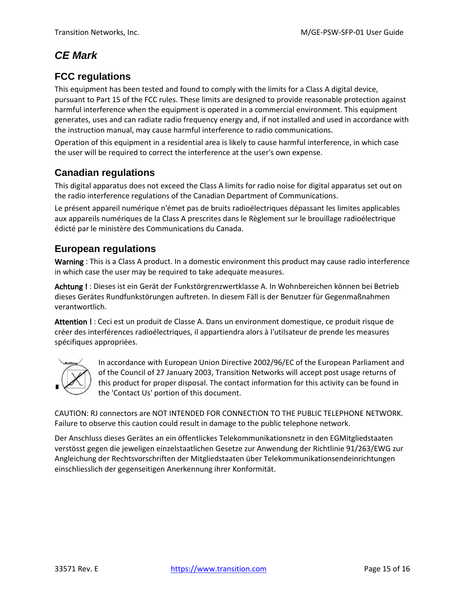## *CE Mark*

### **FCC regulations**

This equipment has been tested and found to comply with the limits for a Class A digital device, pursuant to Part 15 of the FCC rules. These limits are designed to provide reasonable protection against harmful interference when the equipment is operated in a commercial environment. This equipment generates, uses and can radiate radio frequency energy and, if not installed and used in accordance with the instruction manual, may cause harmful interference to radio communications.

Operation of this equipment in a residential area is likely to cause harmful interference, in which case the user will be required to correct the interference at the user's own expense.

### **Canadian regulations**

This digital apparatus does not exceed the Class A limits for radio noise for digital apparatus set out on the radio interference regulations of the Canadian Department of Communications.

Le présent appareil numérique n'émet pas de bruits radioélectriques dépassant les limites applicables aux appareils numériques de la Class A prescrites dans le Règlement sur le brouillage radioélectrique édicté par le ministère des Communications du Canada.

#### **European regulations**

Warning : This is a Class A product. In a domestic environment this product may cause radio interference in which case the user may be required to take adequate measures.

Achtung ! : Dieses ist ein Gerät der Funkstörgrenzwertklasse A. In Wohnbereichen können bei Betrieb dieses Gerätes Rundfunkstörungen auftreten. In diesem Fäll is der Benutzer für Gegenmaßnahmen verantwortlich.

Attention ! : Ceci est un produit de Classe A. Dans un environment domestique, ce produit risque de créer des interférences radioélectriques, il appartiendra alors à l'utilsateur de prende les measures spécifiques appropriées.



In accordance with European Union Directive 2002/96/EC of the European Parliament and of the Council of 27 January 2003, Transition Networks will accept post usage returns of this product for proper disposal. The contact information for this activity can be found in the 'Contact Us' portion of this document.

CAUTION: RJ connectors are NOT INTENDED FOR CONNECTION TO THE PUBLIC TELEPHONE NETWORK. Failure to observe this caution could result in damage to the public telephone network.

Der Anschluss dieses Gerätes an ein öffentlickes Telekommunikationsnetz in den EGMitgliedstaaten verstösst gegen die jeweligen einzelstaatlichen Gesetze zur Anwendung der Richtlinie 91/263/EWG zur Angleichung der Rechtsvorschriften der Mitgliedstaaten über Telekommunikationsendeinrichtungen einschliesslich der gegenseitigen Anerkennung ihrer Konformität.